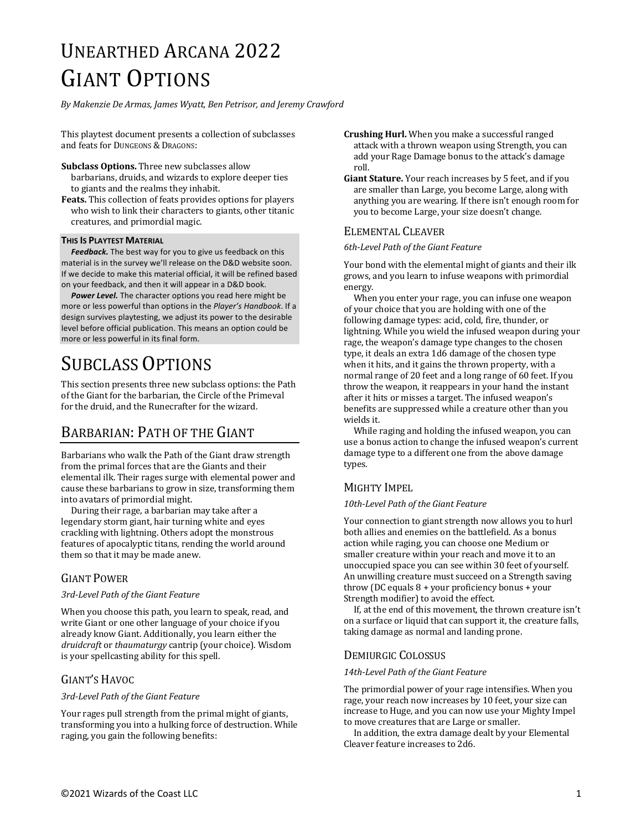# UNEARTHED ARCANA 2022 GIANT OPTIONS

*By Makenzie De Armas, James Wyatt, Ben Petrisor, and Jeremy Crawford*

This playtest document presents a collection of subclasses and feats for DUNGEONS & DRAGONS:

- **Subclass Options.** Three new subclasses allow
- barbarians, druids, and wizards to explore deeper ties to giants and the realms they inhabit.
- **Feats.** This collection of feats provides options for players who wish to link their characters to giants, other titanic creatures, and primordial magic.

### **THIS IS PLAYTEST MATERIAL**

*Feedback.* The best way for you to give us feedback on this material is in the survey we'll release on the D&D website soon. If we decide to make this material official, it will be refined based on your feedback, and then it will appear in a D&D book.

*Power Level.* The character options you read here might be more or less powerful than options in the *Player's Handbook*. If a design survives playtesting, we adjust its power to the desirable level before official publication. This means an option could be more or less powerful in its final form.

# SUBCLASS OPTIONS

This section presents three new subclass options: the Path of the Giant for the barbarian, the Circle of the Primeval for the druid, and the Runecrafter for the wizard.

# BARBARIAN: PATH OF THE GIANT

Barbarians who walk the Path of the Giant draw strength from the primal forces that are the Giants and their elemental ilk. Their rages surge with elemental power and cause these barbarians to grow in size, transforming them into avatars of primordial might.

During their rage, a barbarian may take after a legendary storm giant, hair turning white and eyes crackling with lightning. Others adopt the monstrous features of apocalyptic titans, rending the world around them so that it may be made anew.

# **GIANT POWER**

# *3rd-Level Path of the Giant Feature*

When you choose this path, you learn to speak, read, and write Giant or one other language of your choice if you already know Giant. Additionally, you learn either the *druidcraft* or *thaumaturgy* cantrip (your choice). Wisdom is your spellcasting ability for this spell.

# GIANT'S HAVOC

# *3rd-Level Path of the Giant Feature*

Your rages pull strength from the primal might of giants, transforming you into a hulking force of destruction. While raging, you gain the following benefits:

- **Crushing Hurl.** When you make a successful ranged attack with a thrown weapon using Strength, you can add your Rage Damage bonus to the attack's damage roll.
- **Giant Stature.** Your reach increases by 5 feet, and if you are smaller than Large, you become Large, along with anything you are wearing. If there isn't enough room for you to become Large, your size doesn't change.

# ELEMENTAL CLEAVER

# *6th-Level Path of the Giant Feature*

Your bond with the elemental might of giants and their ilk grows, and you learn to infuse weapons with primordial energy. 

When you enter your rage, you can infuse one weapon of your choice that you are holding with one of the following damage types: acid, cold, fire, thunder, or lightning. While you wield the infused weapon during your rage, the weapon's damage type changes to the chosen type, it deals an extra 1d6 damage of the chosen type when it hits, and it gains the thrown property, with a normal range of 20 feet and a long range of 60 feet. If you throw the weapon, it reappears in your hand the instant after it hits or misses a target. The infused weapon's benefits are suppressed while a creature other than you wields it.

While raging and holding the infused weapon, you can use a bonus action to change the infused weapon's current damage type to a different one from the above damage types.

# MIGHTY IMPEL

# *10th-Level Path of the Giant Feature*

Your connection to giant strength now allows you to hurl both allies and enemies on the battlefield. As a bonus action while raging, you can choose one Medium or smaller creature within your reach and move it to an unoccupied space you can see within 30 feet of yourself. An unwilling creature must succeed on a Strength saving throw (DC equals  $8 +$  your proficiency bonus  $+$  your Strength modifier) to avoid the effect.

If, at the end of this movement, the thrown creature isn't on a surface or liquid that can support it, the creature falls, taking damage as normal and landing prone.

# DEMIURGIC COLOSSUS

# *14th-Level Path of the Giant Feature*

The primordial power of your rage intensifies. When you rage, your reach now increases by 10 feet, your size can increase to Huge, and you can now use your Mighty Impel to move creatures that are Large or smaller.

In addition, the extra damage dealt by your Elemental Cleaver feature increases to 2d6.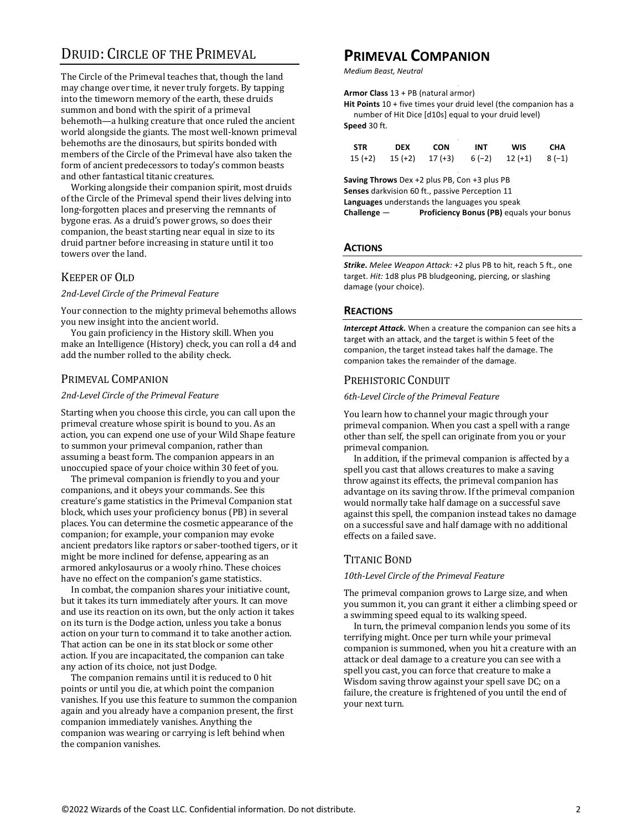# DRUID: CIRCLE OF THE PRIMEVAL

The Circle of the Primeval teaches that, though the land may change over time, it never truly forgets. By tapping into the timeworn memory of the earth, these druids summon and bond with the spirit of a primeval behemoth—a hulking creature that once ruled the ancient world alongside the giants. The most well-known primeval behemoths are the dinosaurs, but spirits bonded with members of the Circle of the Primeval have also taken the form of ancient predecessors to today's common beasts and other fantastical titanic creatures.

Working alongside their companion spirit, most druids of the Circle of the Primeval spend their lives delving into long-forgotten places and preserving the remnants of bygone eras. As a druid's power grows, so does their companion, the beast starting near equal in size to its druid partner before increasing in stature until it too towers over the land.

#### KEEPER OF OLD

#### *2nd-Level Circle of the Primeval Feature*

Your connection to the mighty primeval behemoths allows you new insight into the ancient world.

You gain proficiency in the History skill. When you make an Intelligence (History) check, you can roll a d4 and add the number rolled to the ability check.

#### PRIMEVAL COMPANION

#### *2nd-Level Circle of the Primeval Feature*

Starting when you choose this circle, you can call upon the primeval creature whose spirit is bound to you. As an action, you can expend one use of your Wild Shape feature to summon your primeval companion, rather than assuming a beast form. The companion appears in an unoccupied space of your choice within 30 feet of you.

The primeval companion is friendly to you and your companions, and it obeys your commands. See this creature's game statistics in the Primeval Companion stat block, which uses your proficiency bonus (PB) in several places. You can determine the cosmetic appearance of the companion; for example, your companion may evoke ancient predators like raptors or saber-toothed tigers, or it might be more inclined for defense, appearing as an armored ankylosaurus or a wooly rhino. These choices have no effect on the companion's game statistics.

In combat, the companion shares your initiative count, but it takes its turn immediately after yours. It can move and use its reaction on its own, but the only action it takes on its turn is the Dodge action, unless you take a bonus action on your turn to command it to take another action. That action can be one in its stat block or some other action. If you are incapacitated, the companion can take any action of its choice, not just Dodge.

The companion remains until it is reduced to 0 hit points or until you die, at which point the companion vanishes. If you use this feature to summon the companion again and you already have a companion present, the first companion immediately vanishes. Anything the companion was wearing or carrying is left behind when the companion vanishes.

# **PRIMEVAL COMPANION**

*Medium Beast, Neutral*

**Armor Class** 13 + PB (natural armor)

**Hit Points** 10 + five times your druid level (the companion has a number of Hit Dice [d10s] equal to your druid level) **Speed** 30 ft.

| <b>STR</b> | DEX | CON                                                       | <b>INT</b> | <b>WIS</b> | CHA |
|------------|-----|-----------------------------------------------------------|------------|------------|-----|
|            |     | $15 (+2)$ $15 (+2)$ $17 (+3)$ $6 (-2)$ $12 (+1)$ $8 (-1)$ |            |            |     |

**Saving Throws** Dex +2 plus PB, Con +3 plus PB

**Senses** darkvision 60 ft., passive Perception 11 **Languages** understands the languages you speak

**Challenge** — **Proficiency Bonus (PB)** equals your bonus

#### **ACTIONS**

*Strike. Melee Weapon Attack:* +2 plus PB to hit, reach 5 ft., one target. *Hit:* 1d8 plus PB bludgeoning, piercing, or slashing damage (your choice).

#### **REACTIONS**

*Intercept Attack.* When a creature the companion can see hits a target with an attack, and the target is within 5 feet of the companion, the target instead takes half the damage. The companion takes the remainder of the damage.

#### PREHISTORIC CONDUIT

#### *6th-Level Circle of the Primeval Feature*

You learn how to channel your magic through your primeval companion. When you cast a spell with a range other than self, the spell can originate from you or your primeval companion.

In addition, if the primeval companion is affected by a spell you cast that allows creatures to make a saving throw against its effects, the primeval companion has advantage on its saving throw. If the primeval companion would normally take half damage on a successful save against this spell, the companion instead takes no damage on a successful save and half damage with no additional effects on a failed save.

#### TITANIC BOND

#### *10th-Level Circle of the Primeval Feature*

The primeval companion grows to Large size, and when you summon it, you can grant it either a climbing speed or a swimming speed equal to its walking speed.

In turn, the primeval companion lends you some of its terrifying might. Once per turn while your primeval companion is summoned, when you hit a creature with an attack or deal damage to a creature you can see with a spell you cast, you can force that creature to make a Wisdom saving throw against your spell save DC; on a failure, the creature is frightened of you until the end of your next turn.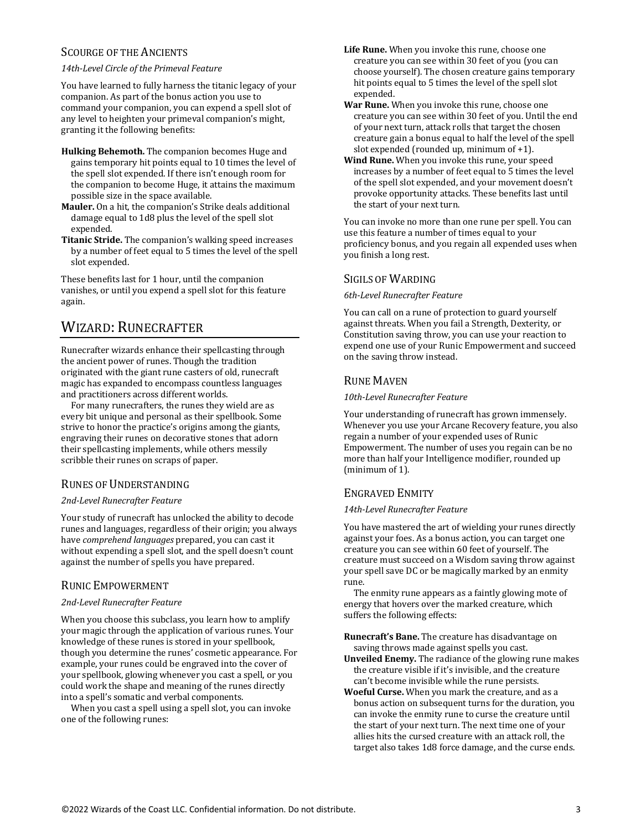#### SCOURGE OF THE ANCIENTS

#### *14th-Level Circle of the Primeval Feature*

You have learned to fully harness the titanic legacy of your companion. As part of the bonus action you use to command your companion, you can expend a spell slot of any level to heighten your primeval companion's might, granting it the following benefits:

- **Hulking Behemoth.** The companion becomes Huge and gains temporary hit points equal to 10 times the level of the spell slot expended. If there isn't enough room for the companion to become Huge, it attains the maximum possible size in the space available.
- **Mauler.** On a hit, the companion's Strike deals additional damage equal to 1d8 plus the level of the spell slot expended.
- Titanic Stride. The companion's walking speed increases by a number of feet equal to 5 times the level of the spell slot expended.

These benefits last for 1 hour, until the companion vanishes, or until you expend a spell slot for this feature again.

# WIZARD: RUNECRAFTER

Runecrafter wizards enhance their spellcasting through the ancient power of runes. Though the tradition originated with the giant rune casters of old, runecraft magic has expanded to encompass countless languages and practitioners across different worlds.

For many runecrafters, the runes they wield are as every bit unique and personal as their spellbook. Some strive to honor the practice's origins among the giants, engraving their runes on decorative stones that adorn their spellcasting implements, while others messily scribble their runes on scraps of paper.

#### RUNES OF UNDERSTANDING

#### *2nd-Level Runecrafter Feature*

Your study of runecraft has unlocked the ability to decode runes and languages, regardless of their origin; you always have *comprehend languages* prepared, you can cast it without expending a spell slot, and the spell doesn't count against the number of spells you have prepared.

#### RUNIC EMPOWERMENT

#### *2nd-Level Runecrafter Feature*

When you choose this subclass, you learn how to amplify your magic through the application of various runes. Your knowledge of these runes is stored in your spellbook, though you determine the runes' cosmetic appearance. For example, your runes could be engraved into the cover of your spellbook, glowing whenever you cast a spell, or you could work the shape and meaning of the runes directly into a spell's somatic and verbal components.

When you cast a spell using a spell slot, you can invoke one of the following runes:

- Life Rune. When you invoke this rune, choose one creature you can see within 30 feet of you (you can choose yourself). The chosen creature gains temporary hit points equal to 5 times the level of the spell slot expended.
- **War Rune.** When you invoke this rune, choose one creature you can see within 30 feet of you. Until the end of your next turn, attack rolls that target the chosen creature gain a bonus equal to half the level of the spell slot expended (rounded up, minimum of  $+1$ ).
- **Wind Rune.** When you invoke this rune, your speed increases by a number of feet equal to 5 times the level of the spell slot expended, and your movement doesn't provoke opportunity attacks. These benefits last until the start of your next turn.

You can invoke no more than one rune per spell. You can use this feature a number of times equal to your proficiency bonus, and you regain all expended uses when you finish a long rest.

#### SIGILS OF WARDING

#### *6th-Level Runecrafter Feature*

You can call on a rune of protection to guard yourself against threats. When you fail a Strength, Dexterity, or Constitution saving throw, you can use your reaction to expend one use of your Runic Empowerment and succeed on the saving throw instead.

### **RUNE MAVEN**

#### *10th-Level Runecrafter Feature*

Your understanding of runecraft has grown immensely. Whenever you use your Arcane Recovery feature, you also regain a number of your expended uses of Runic Empowerment. The number of uses you regain can be no more than half your Intelligence modifier, rounded up (minimum of 1).

# ENGRAVED ENMITY

#### *14th-Level Runecrafter Feature*

You have mastered the art of wielding your runes directly against your foes. As a bonus action, you can target one creature you can see within 60 feet of yourself. The creature must succeed on a Wisdom saving throw against your spell save DC or be magically marked by an enmity rune. 

The enmity rune appears as a faintly glowing mote of energy that hovers over the marked creature, which suffers the following effects:

**Runecraft's Bane.** The creature has disadvantage on saving throws made against spells you cast.

- **Unveiled Enemy.** The radiance of the glowing rune makes the creature visible if it's invisible, and the creature can't become invisible while the rune persists.
- **Woeful Curse.** When you mark the creature, and as a bonus action on subsequent turns for the duration, you can invoke the enmity rune to curse the creature until the start of your next turn. The next time one of your allies hits the cursed creature with an attack roll, the target also takes 1d8 force damage, and the curse ends.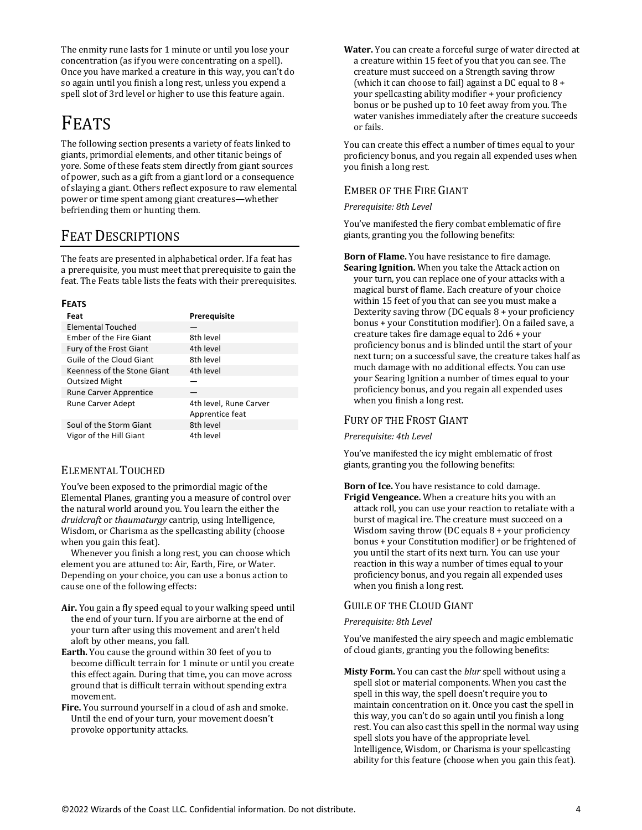The enmity rune lasts for 1 minute or until you lose your concentration (as if you were concentrating on a spell). Once you have marked a creature in this way, you can't do so again until you finish a long rest, unless you expend a spell slot of 3rd level or higher to use this feature again.

# FEATS

The following section presents a variety of feats linked to giants, primordial elements, and other titanic beings of yore. Some of these feats stem directly from giant sources of power, such as a gift from a giant lord or a consequence of slaying a giant. Others reflect exposure to raw elemental power or time spent among giant creatures—whether befriending them or hunting them.

# FEAT DESCRIPTIONS

The feats are presented in alphabetical order. If a feat has a prerequisite, you must meet that prerequisite to gain the feat. The Feats table lists the feats with their prerequisites.

### **FEATS**

| Feat                          | Prerequisite                              |  |
|-------------------------------|-------------------------------------------|--|
| Elemental Touched             |                                           |  |
| Ember of the Fire Giant       | 8th level                                 |  |
| Fury of the Frost Giant       | 4th level                                 |  |
| Guile of the Cloud Giant      | 8th level                                 |  |
| Keenness of the Stone Giant   | 4th level                                 |  |
| <b>Outsized Might</b>         |                                           |  |
| <b>Rune Carver Apprentice</b> |                                           |  |
| Rune Carver Adept             | 4th level, Rune Carver<br>Apprentice feat |  |
| Soul of the Storm Giant       | 8th level                                 |  |
| Vigor of the Hill Giant       | 4th level                                 |  |

# ELEMENTAL TOUCHED

You've been exposed to the primordial magic of the Elemental Planes, granting you a measure of control over the natural world around you. You learn the either the *druidcraft* or *thaumaturgy* cantrip, using Intelligence, Wisdom, or Charisma as the spellcasting ability (choose when you gain this feat).

Whenever you finish a long rest, you can choose which element you are attuned to: Air, Earth, Fire, or Water. Depending on your choice, you can use a bonus action to cause one of the following effects:

- **Air.** You gain a fly speed equal to your walking speed until the end of your turn. If you are airborne at the end of your turn after using this movement and aren't held aloft by other means, you fall.
- **Earth.** You cause the ground within 30 feet of you to become difficult terrain for 1 minute or until you create this effect again. During that time, you can move across ground that is difficult terrain without spending extra movement.
- Fire. You surround yourself in a cloud of ash and smoke. Until the end of your turn, your movement doesn't provoke opportunity attacks.

**Water.** You can create a forceful surge of water directed at a creature within 15 feet of you that you can see. The creature must succeed on a Strength saving throw (which it can choose to fail) against a DC equal to  $8 +$ your spellcasting ability modifier + your proficiency bonus or be pushed up to 10 feet away from you. The water vanishes immediately after the creature succeeds or fails.

You can create this effect a number of times equal to your proficiency bonus, and you regain all expended uses when you finish a long rest.

# EMBER OF THE FIRE GIANT

*Prerequisite: 8th Level*

You've manifested the fiery combat emblematic of fire giants, granting you the following benefits:

**Born of Flame.** You have resistance to fire damage. **Searing Ignition.** When you take the Attack action on your turn, you can replace one of your attacks with a magical burst of flame. Each creature of your choice within 15 feet of you that can see you must make a Dexterity saving throw (DC equals  $8 +$  your proficiency bonus + your Constitution modifier). On a failed save, a creature takes fire damage equal to  $2d6 + your$ proficiency bonus and is blinded until the start of your next turn; on a successful save, the creature takes half as much damage with no additional effects. You can use your Searing Ignition a number of times equal to your proficiency bonus, and you regain all expended uses when you finish a long rest.

# FURY OF THE FROST GIANT

*Prerequisite: 4th Level*

You've manifested the icy might emblematic of frost giants, granting you the following benefits:

#### **Born of Ice.** You have resistance to cold damage. **Frigid Vengeance.** When a creature hits you with an attack roll, you can use your reaction to retaliate with a burst of magical ire. The creature must succeed on a Wisdom saving throw (DC equals  $8 +$  your proficiency bonus + your Constitution modifier) or be frightened of you until the start of its next turn. You can use your reaction in this way a number of times equal to your proficiency bonus, and you regain all expended uses when you finish a long rest.

# GUILE OF THE CLOUD GIANT

*Prerequisite: 8th Level*

You've manifested the airy speech and magic emblematic of cloud giants, granting you the following benefits:

**Misty Form.** You can cast the *blur* spell without using a spell slot or material components. When you cast the spell in this way, the spell doesn't require you to maintain concentration on it. Once you cast the spell in this way, you can't do so again until you finish a long rest. You can also cast this spell in the normal way using spell slots you have of the appropriate level. Intelligence, Wisdom, or Charisma is your spellcasting ability for this feature (choose when you gain this feat).